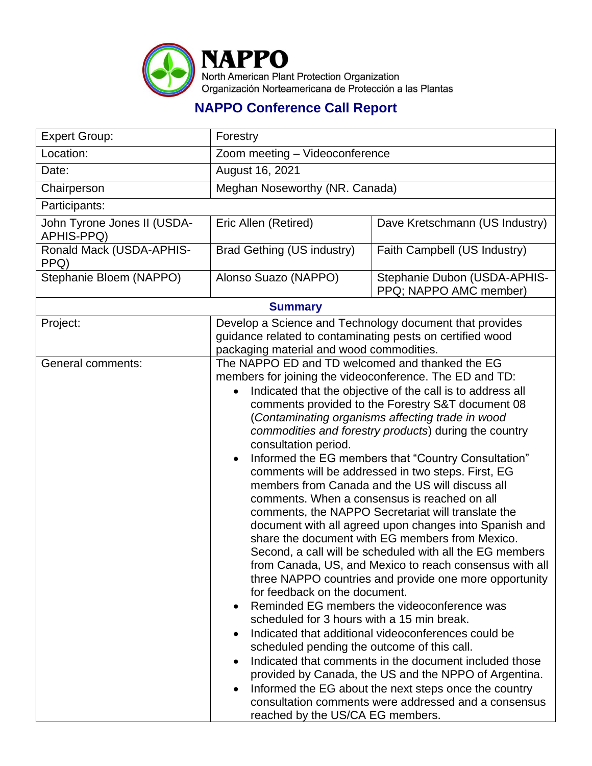

## **NAPPO Conference Call Report**

| <b>Expert Group:</b>                      | Forestry                                                                                                                                                                                                                                                                                                                                                                                                                                                                                                                                                                                                                                                                                                                                                                                                                                                                                                                                                                                                                                                                                                                                                                                                                                                                                                                                                                                                                                           |                                                        |  |  |
|-------------------------------------------|----------------------------------------------------------------------------------------------------------------------------------------------------------------------------------------------------------------------------------------------------------------------------------------------------------------------------------------------------------------------------------------------------------------------------------------------------------------------------------------------------------------------------------------------------------------------------------------------------------------------------------------------------------------------------------------------------------------------------------------------------------------------------------------------------------------------------------------------------------------------------------------------------------------------------------------------------------------------------------------------------------------------------------------------------------------------------------------------------------------------------------------------------------------------------------------------------------------------------------------------------------------------------------------------------------------------------------------------------------------------------------------------------------------------------------------------------|--------------------------------------------------------|--|--|
| Location:                                 | Zoom meeting - Videoconference                                                                                                                                                                                                                                                                                                                                                                                                                                                                                                                                                                                                                                                                                                                                                                                                                                                                                                                                                                                                                                                                                                                                                                                                                                                                                                                                                                                                                     |                                                        |  |  |
| Date:                                     | August 16, 2021                                                                                                                                                                                                                                                                                                                                                                                                                                                                                                                                                                                                                                                                                                                                                                                                                                                                                                                                                                                                                                                                                                                                                                                                                                                                                                                                                                                                                                    |                                                        |  |  |
| Chairperson                               | Meghan Noseworthy (NR. Canada)                                                                                                                                                                                                                                                                                                                                                                                                                                                                                                                                                                                                                                                                                                                                                                                                                                                                                                                                                                                                                                                                                                                                                                                                                                                                                                                                                                                                                     |                                                        |  |  |
| Participants:                             |                                                                                                                                                                                                                                                                                                                                                                                                                                                                                                                                                                                                                                                                                                                                                                                                                                                                                                                                                                                                                                                                                                                                                                                                                                                                                                                                                                                                                                                    |                                                        |  |  |
| John Tyrone Jones II (USDA-<br>APHIS-PPQ) | Eric Allen (Retired)                                                                                                                                                                                                                                                                                                                                                                                                                                                                                                                                                                                                                                                                                                                                                                                                                                                                                                                                                                                                                                                                                                                                                                                                                                                                                                                                                                                                                               | Dave Kretschmann (US Industry)                         |  |  |
| Ronald Mack (USDA-APHIS-<br>PPQ)          | <b>Brad Gething (US industry)</b>                                                                                                                                                                                                                                                                                                                                                                                                                                                                                                                                                                                                                                                                                                                                                                                                                                                                                                                                                                                                                                                                                                                                                                                                                                                                                                                                                                                                                  | Faith Campbell (US Industry)                           |  |  |
| Stephanie Bloem (NAPPO)                   | Alonso Suazo (NAPPO)                                                                                                                                                                                                                                                                                                                                                                                                                                                                                                                                                                                                                                                                                                                                                                                                                                                                                                                                                                                                                                                                                                                                                                                                                                                                                                                                                                                                                               | Stephanie Dubon (USDA-APHIS-<br>PPQ; NAPPO AMC member) |  |  |
| <b>Summary</b>                            |                                                                                                                                                                                                                                                                                                                                                                                                                                                                                                                                                                                                                                                                                                                                                                                                                                                                                                                                                                                                                                                                                                                                                                                                                                                                                                                                                                                                                                                    |                                                        |  |  |
| Project:                                  | Develop a Science and Technology document that provides<br>guidance related to contaminating pests on certified wood<br>packaging material and wood commodities.                                                                                                                                                                                                                                                                                                                                                                                                                                                                                                                                                                                                                                                                                                                                                                                                                                                                                                                                                                                                                                                                                                                                                                                                                                                                                   |                                                        |  |  |
| General comments:                         | The NAPPO ED and TD welcomed and thanked the EG<br>members for joining the videoconference. The ED and TD:<br>Indicated that the objective of the call is to address all<br>comments provided to the Forestry S&T document 08<br>(Contaminating organisms affecting trade in wood<br>commodities and forestry products) during the country<br>consultation period.<br>Informed the EG members that "Country Consultation"<br>comments will be addressed in two steps. First, EG<br>members from Canada and the US will discuss all<br>comments. When a consensus is reached on all<br>comments, the NAPPO Secretariat will translate the<br>document with all agreed upon changes into Spanish and<br>share the document with EG members from Mexico.<br>Second, a call will be scheduled with all the EG members<br>from Canada, US, and Mexico to reach consensus with all<br>three NAPPO countries and provide one more opportunity<br>for feedback on the document.<br>Reminded EG members the videoconference was<br>scheduled for 3 hours with a 15 min break.<br>Indicated that additional videoconferences could be<br>scheduled pending the outcome of this call.<br>Indicated that comments in the document included those<br>provided by Canada, the US and the NPPO of Argentina.<br>Informed the EG about the next steps once the country<br>consultation comments were addressed and a consensus<br>reached by the US/CA EG members. |                                                        |  |  |